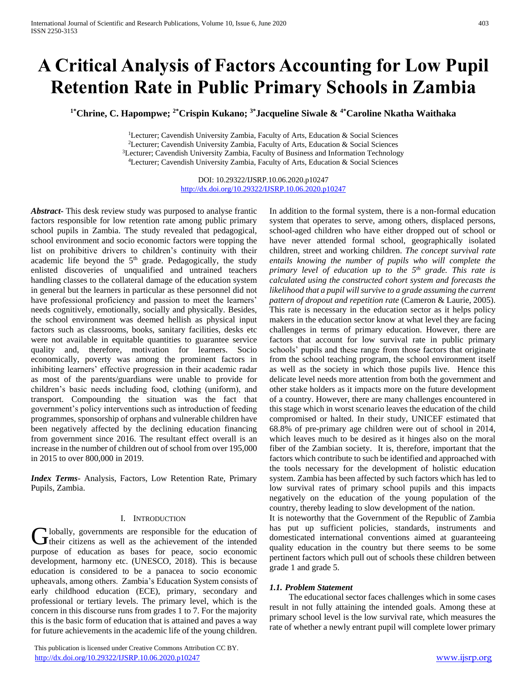# **A Critical Analysis of Factors Accounting for Low Pupil Retention Rate in Public Primary Schools in Zambia**

**1\*Chrine, C. Hapompwe; 2\*Crispin Kukano; 3\*Jacqueline Siwale & 4\*Caroline Nkatha Waithaka**

<sup>1</sup>Lecturer; Cavendish University Zambia, Faculty of Arts, Education & Social Sciences <sup>2</sup>Lecturer; Cavendish University Zambia, Faculty of Arts, Education & Social Sciences <sup>3</sup>Lecturer; Cavendish University Zambia, Faculty of Business and Information Technology <sup>4</sup>Lecturer; Cavendish University Zambia, Faculty of Arts, Education & Social Sciences

> DOI: 10.29322/IJSRP.10.06.2020.p10247 <http://dx.doi.org/10.29322/IJSRP.10.06.2020.p10247>

*Abstract***-** This desk review study was purposed to analyse frantic factors responsible for low retention rate among public primary school pupils in Zambia. The study revealed that pedagogical, school environment and socio economic factors were topping the list on prohibitive drivers to children's continuity with their academic life beyond the 5<sup>th</sup> grade. Pedagogically, the study enlisted discoveries of unqualified and untrained teachers handling classes to the collateral damage of the education system in general but the learners in particular as these personnel did not have professional proficiency and passion to meet the learners' needs cognitively, emotionally, socially and physically. Besides, the school environment was deemed hellish as physical input factors such as classrooms, books, sanitary facilities, desks etc were not available in equitable quantities to guarantee service quality and, therefore, motivation for learners. Socio economically, poverty was among the prominent factors in inhibiting learners' effective progression in their academic radar as most of the parents/guardians were unable to provide for children's basic needs including food, clothing (uniform), and transport. Compounding the situation was the fact that government's policy interventions such as introduction of feeding programmes, sponsorship of orphans and vulnerable children have been negatively affected by the declining education financing from government since 2016. The resultant effect overall is an increase in the number of children out of school from over 195,000 in 2015 to over 800,000 in 2019.

*Index Terms*- Analysis, Factors, Low Retention Rate, Primary Pupils, Zambia.

#### I. INTRODUCTION

lobally, governments are responsible for the education of Globally, governments are responsible for the education of their citizens as well as the achievement of the intended purpose of education as bases for peace, socio economic development, harmony etc. (UNESCO, 2018). This is because education is considered to be a panacea to socio economic upheavals, among others. Zambia's Education System consists of early childhood education (ECE), primary, secondary and professional or tertiary levels. The primary level, which is the concern in this discourse runs from grades 1 to 7. For the majority this is the basic form of education that is attained and paves a way for future achievements in the academic life of the young children.

 This publication is licensed under Creative Commons Attribution CC BY. <http://dx.doi.org/10.29322/IJSRP.10.06.2020.p10247> [www.ijsrp.org](http://ijsrp.org/)

In addition to the formal system, there is a non-formal education system that operates to serve, among others, displaced persons, school-aged children who have either dropped out of school or have never attended formal school, geographically isolated children, street and working children. *The concept survival rate entails knowing the number of pupils who will complete the primary level of education up to the 5th grade. This rate is calculated using the constructed cohort system and forecasts the likelihood that a pupil will survive to a grade assuming the current pattern of dropout and repetition rate* (Cameron & Laurie, 2005). This rate is necessary in the education sector as it helps policy makers in the education sector know at what level they are facing challenges in terms of primary education. However, there are factors that account for low survival rate in public primary schools' pupils and these range from those factors that originate from the school teaching program, the school environment itself as well as the society in which those pupils live. Hence this delicate level needs more attention from both the government and other stake holders as it impacts more on the future development of a country. However, there are many challenges encountered in this stage which in worst scenario leaves the education of the child compromised or halted. In their study, UNICEF estimated that 68.8% of pre-primary age children were out of school in 2014, which leaves much to be desired as it hinges also on the moral fiber of the Zambian society. It is, therefore, important that the factors which contribute to such be identified and approached with the tools necessary for the development of holistic education system. Zambia has been affected by such factors which has led to low survival rates of primary school pupils and this impacts negatively on the education of the young population of the country, thereby leading to slow development of the nation.

It is noteworthy that the Government of the Republic of Zambia has put up sufficient policies, standards, instruments and domesticated international conventions aimed at guaranteeing quality education in the country but there seems to be some pertinent factors which pull out of schools these children between grade 1 and grade 5.

#### *1.1. Problem Statement*

 The educational sector faces challenges which in some cases result in not fully attaining the intended goals. Among these at primary school level is the low survival rate, which measures the rate of whether a newly entrant pupil will complete lower primary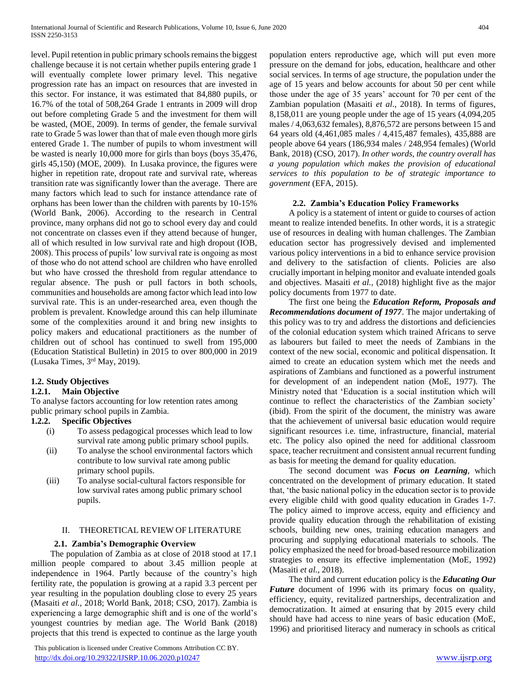level. Pupil retention in public primary schools remains the biggest challenge because it is not certain whether pupils entering grade 1 will eventually complete lower primary level. This negative progression rate has an impact on resources that are invested in this sector. For instance, it was estimated that 84,880 pupils, or 16.7% of the total of 508,264 Grade 1 entrants in 2009 will drop out before completing Grade 5 and the investment for them will be wasted, (MOE, 2009). In terms of gender, the female survival rate to Grade 5 was lower than that of male even though more girls entered Grade 1. The number of pupils to whom investment will be wasted is nearly 10,000 more for girls than boys (boys 35,476, girls 45,150) (MOE, 2009). In Lusaka province, the figures were higher in repetition rate, dropout rate and survival rate, whereas transition rate was significantly lower than the average. There are many factors which lead to such for instance attendance rate of orphans has been lower than the children with parents by 10-15% (World Bank, 2006). According to the research in Central province, many orphans did not go to school every day and could not concentrate on classes even if they attend because of hunger, all of which resulted in low survival rate and high dropout (IOB, 2008). This process of pupils' low survival rate is ongoing as most of those who do not attend school are children who have enrolled but who have crossed the threshold from regular attendance to regular absence. The push or pull factors in both schools, communities and households are among factor which lead into low survival rate. This is an under-researched area, even though the problem is prevalent. Knowledge around this can help illuminate some of the complexities around it and bring new insights to policy makers and educational practitioners as the number of children out of school has continued to swell from 195,000 (Education Statistical Bulletin) in 2015 to over 800,000 in 2019 (Lusaka Times, 3rd May, 2019).

# **1.2. Study Objectives**

#### **1.2.1. Main Objective**

To analyse factors accounting for low retention rates among public primary school pupils in Zambia.

# **1.2.2. Specific Objectives**

- (i) To assess pedagogical processes which lead to low survival rate among public primary school pupils.
- (ii) To analyse the school environmental factors which contribute to low survival rate among public primary school pupils.
- (iii) To analyse social-cultural factors responsible for low survival rates among public primary school pupils.

#### II. THEORETICAL REVIEW OF LITERATURE

#### **2.1. Zambia's Demographic Overview**

 The population of Zambia as at close of 2018 stood at 17.1 million people compared to about 3.45 million people at independence in 1964. Partly because of the country's high fertility rate, the population is growing at a rapid 3.3 percent per year resulting in the population doubling close to every 25 years (Masaiti *et al.,* 2018; World Bank, 2018; CSO, 2017). Zambia is experiencing a large demographic shift and is one of the world's youngest countries by median age. The World Bank (2018) projects that this trend is expected to continue as the large youth

 This publication is licensed under Creative Commons Attribution CC BY. <http://dx.doi.org/10.29322/IJSRP.10.06.2020.p10247> [www.ijsrp.org](http://ijsrp.org/)

population enters reproductive age, which will put even more pressure on the demand for jobs, education, healthcare and other social services. In terms of age structure, the population under the age of 15 years and below accounts for about 50 per cent while those under the age of 35 years' account for 70 per cent of the Zambian population (Masaiti *et al*., 2018). In terms of figures, 8,158,011 are young people under the age of 15 years (4,094,205 males / 4,063,632 females), 8,876,572 are persons between 15 and 64 years old (4,461,085 males / 4,415,487 females), 435,888 are people above 64 years (186,934 males / 248,954 females) (World Bank, 2018) (CSO, 2017). *In other words, the country overall has a young population which makes the provision of educational services to this population to be of strategic importance to government* (EFA, 2015).

#### **2.2. Zambia's Education Policy Frameworks**

 A policy is a statement of intent or guide to courses of action meant to realize intended benefits. In other words, it is a strategic use of resources in dealing with human challenges. The Zambian education sector has progressively devised and implemented various policy interventions in a bid to enhance service provision and delivery to the satisfaction of clients. Policies are also crucially important in helping monitor and evaluate intended goals and objectives. Masaiti *et al.,* (2018) highlight five as the major policy documents from 1977 to date.

 The first one being the *Education Reform, Proposals and Recommendations document of 1977*. The major undertaking of this policy was to try and address the distortions and deficiencies of the colonial education system which trained Africans to serve as labourers but failed to meet the needs of Zambians in the context of the new social, economic and political dispensation. It aimed to create an education system which met the needs and aspirations of Zambians and functioned as a powerful instrument for development of an independent nation (MoE, 1977). The Ministry noted that 'Education is a social institution which will continue to reflect the characteristics of the Zambian society' (ibid). From the spirit of the document, the ministry was aware that the achievement of universal basic education would require significant resources i.e. time, infrastructure, financial, material etc. The policy also opined the need for additional classroom space, teacher recruitment and consistent annual recurrent funding as basis for meeting the demand for quality education.

 The second document was *Focus on Learning*, which concentrated on the development of primary education. It stated that, 'the basic national policy in the education sector is to provide every eligible child with good quality education in Grades 1-7. The policy aimed to improve access, equity and efficiency and provide quality education through the rehabilitation of existing schools, building new ones, training education managers and procuring and supplying educational materials to schools. The policy emphasized the need for broad-based resource mobilization strategies to ensure its effective implementation (MoE, 1992) (Masaiti *et al.,* 2018).

 The third and current education policy is the *Educating Our Future* document of 1996 with its primary focus on quality, efficiency, equity, revitalized partnerships, decentralization and democratization. It aimed at ensuring that by 2015 every child should have had access to nine years of basic education (MoE, 1996) and prioritised literacy and numeracy in schools as critical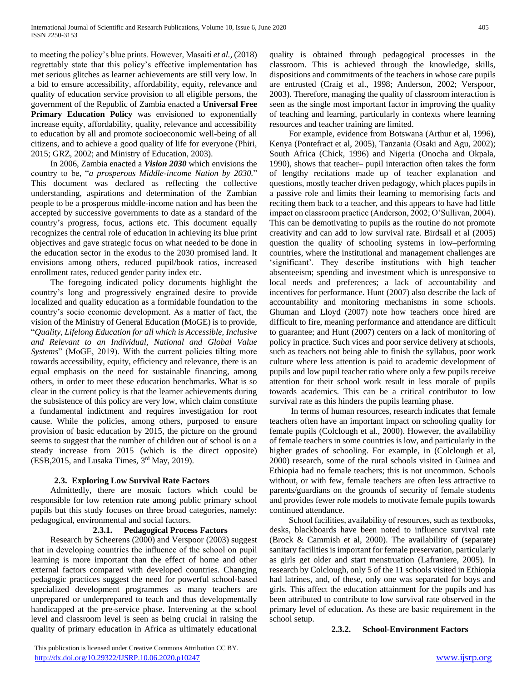to meeting the policy's blue prints. However, Masaiti *et al.,* (2018) regrettably state that this policy's effective implementation has met serious glitches as learner achievements are still very low. In a bid to ensure accessibility, affordability, equity, relevance and quality of education service provision to all eligible persons, the government of the Republic of Zambia enacted a **Universal Free Primary Education Policy** was envisioned to exponentially increase equity, affordability, quality, relevance and accessibility to education by all and promote socioeconomic well-being of all citizens, and to achieve a good quality of life for everyone (Phiri, 2015; GRZ, 2002; and Ministry of Education, 2003).

 In 2006, Zambia enacted a *Vision 2030* which envisions the country to be, "*a prosperous Middle-income Nation by 2030.*" This document was declared as reflecting the collective understanding, aspirations and determination of the Zambian people to be a prosperous middle-income nation and has been the accepted by successive governments to date as a standard of the country's progress, focus, actions etc. This document equally recognizes the central role of education in achieving its blue print objectives and gave strategic focus on what needed to be done in the education sector in the exodus to the 2030 promised land. It envisions among others, reduced pupil/book ratios, increased enrollment rates, reduced gender parity index etc.

 The foregoing indicated policy documents highlight the country's long and progressively engrained desire to provide localized and quality education as a formidable foundation to the country's socio economic development. As a matter of fact, the vision of the Ministry of General Education (MoGE) is to provide, "*Quality, Lifelong Education for all which is Accessible, Inclusive and Relevant to an Individual, National and Global Value Systems*" (MoGE, 2019). With the current policies tilting more towards accessibility, equity, efficiency and relevance, there is an equal emphasis on the need for sustainable financing, among others, in order to meet these education benchmarks. What is so clear in the current policy is that the learner achievements during the subsistence of this policy are very low, which claim constitute a fundamental indictment and requires investigation for root cause. While the policies, among others, purposed to ensure provision of basic education by 2015, the picture on the ground seems to suggest that the number of children out of school is on a steady increase from 2015 (which is the direct opposite) (ESB, 2015, and Lusaka Times, 3<sup>rd</sup> May, 2019).

# **2.3. Exploring Low Survival Rate Factors**

 Admittedly, there are mosaic factors which could be responsible for low retention rate among public primary school pupils but this study focuses on three broad categories, namely: pedagogical, environmental and social factors.

#### **2.3.1. Pedagogical Process Factors**

 Research by Scheerens (2000) and Verspoor (2003) suggest that in developing countries the influence of the school on pupil learning is more important than the effect of home and other external factors compared with developed countries. Changing pedagogic practices suggest the need for powerful school-based specialized development programmes as many teachers are unprepared or underprepared to teach and thus developmentally handicapped at the pre-service phase. Intervening at the school level and classroom level is seen as being crucial in raising the quality of primary education in Africa as ultimately educational quality is obtained through pedagogical processes in the classroom. This is achieved through the knowledge, skills, dispositions and commitments of the teachers in whose care pupils are entrusted (Craig et al., 1998; Anderson, 2002; Verspoor, 2003). Therefore, managing the quality of classroom interaction is seen as the single most important factor in improving the quality of teaching and learning, particularly in contexts where learning resources and teacher training are limited.

 For example, evidence from Botswana (Arthur et al, 1996), Kenya (Pontefract et al, 2005), Tanzania (Osaki and Agu, 2002); South Africa (Chick, 1996) and Nigeria (Onocha and Okpala, 1990), shows that teacher– pupil interaction often takes the form of lengthy recitations made up of teacher explanation and questions, mostly teacher driven pedagogy, which places pupils in a passive role and limits their learning to memorising facts and reciting them back to a teacher, and this appears to have had little impact on classroom practice (Anderson, 2002; O'Sullivan, 2004). This can be demotivating to pupils as the routine do not promote creativity and can add to low survival rate. Birdsall et al (2005) question the quality of schooling systems in low–performing countries, where the institutional and management challenges are 'significant'. They describe institutions with high teacher absenteeism; spending and investment which is unresponsive to local needs and preferences; a lack of accountability and incentives for performance. Hunt (2007) also describe the lack of accountability and monitoring mechanisms in some schools. Ghuman and Lloyd (2007) note how teachers once hired are difficult to fire, meaning performance and attendance are difficult to guarantee; and Hunt (2007) centers on a lack of monitoring of policy in practice. Such vices and poor service delivery at schools, such as teachers not being able to finish the syllabus, poor work culture where less attention is paid to academic development of pupils and low pupil teacher ratio where only a few pupils receive attention for their school work result in less morale of pupils towards academics. This can be a critical contributor to low survival rate as this hinders the pupils learning phase.

 In terms of human resources, research indicates that female teachers often have an important impact on schooling quality for female pupils (Colclough et al., 2000). However, the availability of female teachers in some countries is low, and particularly in the higher grades of schooling. For example, in (Colclough et al, 2000) research, some of the rural schools visited in Guinea and Ethiopia had no female teachers; this is not uncommon. Schools without, or with few, female teachers are often less attractive to parents/guardians on the grounds of security of female students and provides fewer role models to motivate female pupils towards continued attendance.

 School facilities, availability of resources, such as textbooks, desks, blackboards have been noted to influence survival rate (Brock & Cammish et al, 2000). The availability of (separate) sanitary facilities is important for female preservation, particularly as girls get older and start menstruation (Lafraniere, 2005). In research by Colclough, only 5 of the 11 schools visited in Ethiopia had latrines, and, of these, only one was separated for boys and girls. This affect the education attainment for the pupils and has been attributed to contribute to low survival rate observed in the primary level of education. As these are basic requirement in the school setup.

**2.3.2. School-Environment Factors**

 This publication is licensed under Creative Commons Attribution CC BY. <http://dx.doi.org/10.29322/IJSRP.10.06.2020.p10247> [www.ijsrp.org](http://ijsrp.org/)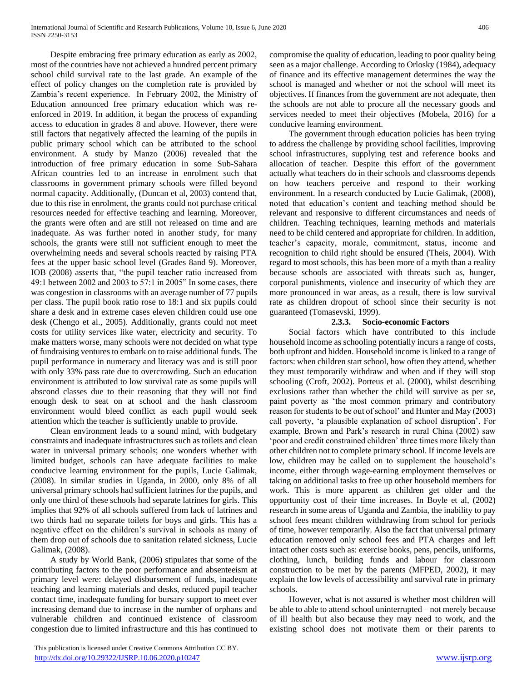Despite embracing free primary education as early as 2002, most of the countries have not achieved a hundred percent primary school child survival rate to the last grade. An example of the effect of policy changes on the completion rate is provided by Zambia's recent experience. In February 2002, the Ministry of Education announced free primary education which was reenforced in 2019. In addition, it began the process of expanding access to education in grades 8 and above. However, there were still factors that negatively affected the learning of the pupils in public primary school which can be attributed to the school environment. A study by Manzo (2006) revealed that the introduction of free primary education in some Sub-Sahara African countries led to an increase in enrolment such that classrooms in government primary schools were filled beyond normal capacity. Additionally, (Duncan et al, 2003) contend that, due to this rise in enrolment, the grants could not purchase critical resources needed for effective teaching and learning. Moreover, the grants were often and are still not released on time and are inadequate. As was further noted in another study, for many schools, the grants were still not sufficient enough to meet the overwhelming needs and several schools reacted by raising PTA fees at the upper basic school level (Grades 8and 9). Moreover, IOB (2008) asserts that, "the pupil teacher ratio increased from 49:1 between 2002 and 2003 to 57:1 in 2005" In some cases, there was congestion in classrooms with an average number of 77 pupils per class. The pupil book ratio rose to 18:1 and six pupils could share a desk and in extreme cases eleven children could use one desk (Chengo et al., 2005). Additionally, grants could not meet costs for utility services like water, electricity and security. To make matters worse, many schools were not decided on what type of fundraising ventures to embark on to raise additional funds. The pupil performance in numeracy and literacy was and is still poor with only 33% pass rate due to overcrowding. Such an education environment is attributed to low survival rate as some pupils will abscond classes due to their reasoning that they will not find enough desk to seat on at school and the hash classroom environment would bleed conflict as each pupil would seek attention which the teacher is sufficiently unable to provide.

 Clean environment leads to a sound mind, with budgetary constraints and inadequate infrastructures such as toilets and clean water in universal primary schools; one wonders whether with limited budget, schools can have adequate facilities to make conducive learning environment for the pupils, Lucie Galimak, (2008). In similar studies in Uganda, in 2000, only 8% of all universal primary schools had sufficient latrines for the pupils, and only one third of these schools had separate latrines for girls. This implies that 92% of all schools suffered from lack of latrines and two thirds had no separate toilets for boys and girls. This has a negative effect on the children's survival in schools as many of them drop out of schools due to sanitation related sickness, Lucie Galimak, (2008).

 A study by World Bank, (2006) stipulates that some of the contributing factors to the poor performance and absenteeism at primary level were: delayed disbursement of funds, inadequate teaching and learning materials and desks, reduced pupil teacher contact time, inadequate funding for bursary support to meet ever increasing demand due to increase in the number of orphans and vulnerable children and continued existence of classroom congestion due to limited infrastructure and this has continued to

 This publication is licensed under Creative Commons Attribution CC BY. <http://dx.doi.org/10.29322/IJSRP.10.06.2020.p10247> [www.ijsrp.org](http://ijsrp.org/)

compromise the quality of education, leading to poor quality being seen as a major challenge. According to Orlosky (1984), adequacy of finance and its effective management determines the way the school is managed and whether or not the school will meet its objectives. If finances from the government are not adequate, then the schools are not able to procure all the necessary goods and services needed to meet their objectives (Mobela, 2016) for a conducive learning environment.

 The government through education policies has been trying to address the challenge by providing school facilities, improving school infrastructures, supplying test and reference books and allocation of teacher. Despite this effort of the government actually what teachers do in their schools and classrooms depends on how teachers perceive and respond to their working environment. In a research conducted by Lucie Galimak, (2008), noted that education's content and teaching method should be relevant and responsive to different circumstances and needs of children. Teaching techniques, learning methods and materials need to be child centered and appropriate for children. In addition, teacher's capacity, morale, commitment, status, income and recognition to child right should be ensured (Theis, 2004). With regard to most schools, this has been more of a myth than a reality because schools are associated with threats such as, hunger, corporal punishments, violence and insecurity of which they are more pronounced in war areas, as a result, there is low survival rate as children dropout of school since their security is not guaranteed (Tomasevski, 1999).

#### **2.3.3. Socio-economic Factors**

 Social factors which have contributed to this include household income as schooling potentially incurs a range of costs, both upfront and hidden. Household income is linked to a range of factors: when children start school, how often they attend, whether they must temporarily withdraw and when and if they will stop schooling (Croft, 2002). Porteus et al. (2000), whilst describing exclusions rather than whether the child will survive as per se, paint poverty as 'the most common primary and contributory reason for students to be out of school' and Hunter and May (2003) call poverty, 'a plausible explanation of school disruption'. For example, Brown and Park's research in rural China (2002) saw 'poor and credit constrained children' three times more likely than other children not to complete primary school. If income levels are low, children may be called on to supplement the household's income, either through wage-earning employment themselves or taking on additional tasks to free up other household members for work. This is more apparent as children get older and the opportunity cost of their time increases. In Boyle et al, (2002) research in some areas of Uganda and Zambia, the inability to pay school fees meant children withdrawing from school for periods of time, however temporarily. Also the fact that universal primary education removed only school fees and PTA charges and left intact other costs such as: exercise books, pens, pencils, uniforms, clothing, lunch, building funds and labour for classroom construction to be met by the parents (MFPED, 2002), it may explain the low levels of accessibility and survival rate in primary schools.

 However, what is not assured is whether most children will be able to able to attend school uninterrupted – not merely because of ill health but also because they may need to work, and the existing school does not motivate them or their parents to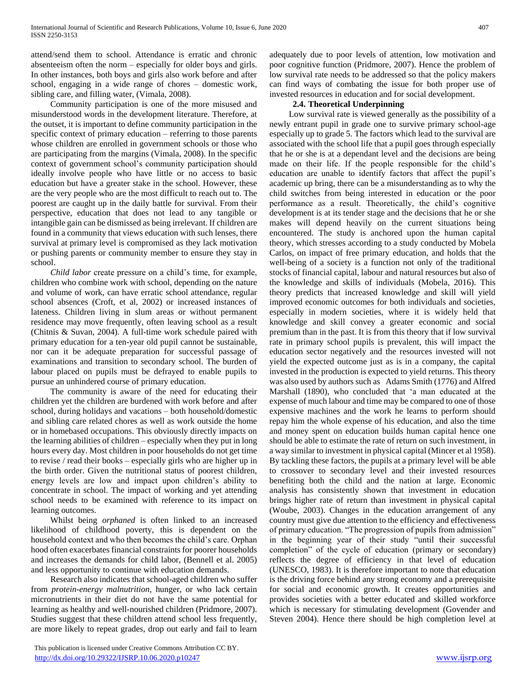attend/send them to school. Attendance is erratic and chronic absenteeism often the norm – especially for older boys and girls. In other instances, both boys and girls also work before and after school, engaging in a wide range of chores – domestic work, sibling care, and filling water, (Vimala, 2008).

 Community participation is one of the more misused and misunderstood words in the development literature. Therefore, at the outset, it is important to define community participation in the specific context of primary education – referring to those parents whose children are enrolled in government schools or those who are participating from the margins (Vimala, 2008). In the specific context of government school's community participation should ideally involve people who have little or no access to basic education but have a greater stake in the school. However, these are the very people who are the most difficult to reach out to. The poorest are caught up in the daily battle for survival. From their perspective, education that does not lead to any tangible or intangible gain can be dismissed as being irrelevant. If children are found in a community that views education with such lenses, there survival at primary level is compromised as they lack motivation or pushing parents or community member to ensure they stay in school.

 *Child labor* create pressure on a child's time, for example, children who combine work with school, depending on the nature and volume of work, can have erratic school attendance, regular school absences (Croft, et al, 2002) or increased instances of lateness. Children living in slum areas or without permanent residence may move frequently, often leaving school as a result (Chitnis & Suvan, 2004). A full-time work schedule paired with primary education for a ten-year old pupil cannot be sustainable, nor can it be adequate preparation for successful passage of examinations and transition to secondary school. The burden of labour placed on pupils must be defrayed to enable pupils to pursue an unhindered course of primary education.

 The community is aware of the need for educating their children yet the children are burdened with work before and after school, during holidays and vacations – both household/domestic and sibling care related chores as well as work outside the home or in homebased occupations. This obviously directly impacts on the learning abilities of children – especially when they put in long hours every day. Most children in poor households do not get time to revise / read their books – especially girls who are higher up in the birth order. Given the nutritional status of poorest children, energy levels are low and impact upon children's ability to concentrate in school. The impact of working and yet attending school needs to be examined with reference to its impact on learning outcomes.

 Whilst being *orphaned* is often linked to an increased likelihood of childhood poverty, this is dependent on the household context and who then becomes the child's care. Orphan hood often exacerbates financial constraints for poorer households and increases the demands for child labor, (Bennell et al. 2005) and less opportunity to continue with education demands.

 Research also indicates that school-aged children who suffer from *protein-energy malnutrition*, hunger, or who lack certain micronutrients in their diet do not have the same potential for learning as healthy and well-nourished children (Pridmore, 2007). Studies suggest that these children attend school less frequently, are more likely to repeat grades, drop out early and fail to learn

 This publication is licensed under Creative Commons Attribution CC BY. <http://dx.doi.org/10.29322/IJSRP.10.06.2020.p10247> [www.ijsrp.org](http://ijsrp.org/)

adequately due to poor levels of attention, low motivation and poor cognitive function (Pridmore, 2007). Hence the problem of low survival rate needs to be addressed so that the policy makers can find ways of combating the issue for both proper use of invested resources in education and for social development.

#### **2.4. Theoretical Underpinning**

 Low survival rate is viewed generally as the possibility of a newly entrant pupil in grade one to survive primary school-age especially up to grade 5. The factors which lead to the survival are associated with the school life that a pupil goes through especially that he or she is at a dependant level and the decisions are being made on their life. If the people responsible for the child's education are unable to identify factors that affect the pupil's academic up bring, there can be a misunderstanding as to why the child switches from being interested in education or the poor performance as a result. Theoretically, the child's cognitive development is at its tender stage and the decisions that he or she makes will depend heavily on the current situations being encountered. The study is anchored upon the human capital theory, which stresses according to a study conducted by Mobela Carlos, on impact of free primary education, and holds that the well-being of a society is a function not only of the traditional stocks of financial capital, labour and natural resources but also of the knowledge and skills of individuals (Mobela, 2016). This theory predicts that increased knowledge and skill will yield improved economic outcomes for both individuals and societies, especially in modern societies, where it is widely held that knowledge and skill convey a greater economic and social premium than in the past. It is from this theory that if low survival rate in primary school pupils is prevalent, this will impact the education sector negatively and the resources invested will not yield the expected outcome just as is in a company, the capital invested in the production is expected to yield returns. This theory was also used by authors such as Adams Smith (1776) and Alfred Marshall (1890), who concluded that 'a man educated at the expense of much labour and time may be compared to one of those expensive machines and the work he learns to perform should repay him the whole expense of his education, and also the time and money spent on education builds human capital hence one should be able to estimate the rate of return on such investment, in a way similar to investment in physical capital (Mincer et al 1958). By tackling these factors, the pupils at a primary level will be able to crossover to secondary level and their invested resources benefiting both the child and the nation at large. Economic analysis has consistently shown that investment in education brings higher rate of return than investment in physical capital (Woube, 2003). Changes in the education arrangement of any country must give due attention to the efficiency and effectiveness of primary education. "The progression of pupils from admission" in the beginning year of their study "until their successful completion" of the cycle of education (primary or secondary) reflects the degree of efficiency in that level of education (UNESCO, 1983). It is therefore important to note that education is the driving force behind any strong economy and a prerequisite for social and economic growth. It creates opportunities and provides societies with a better educated and skilled workforce which is necessary for stimulating development (Govender and Steven 2004). Hence there should be high completion level at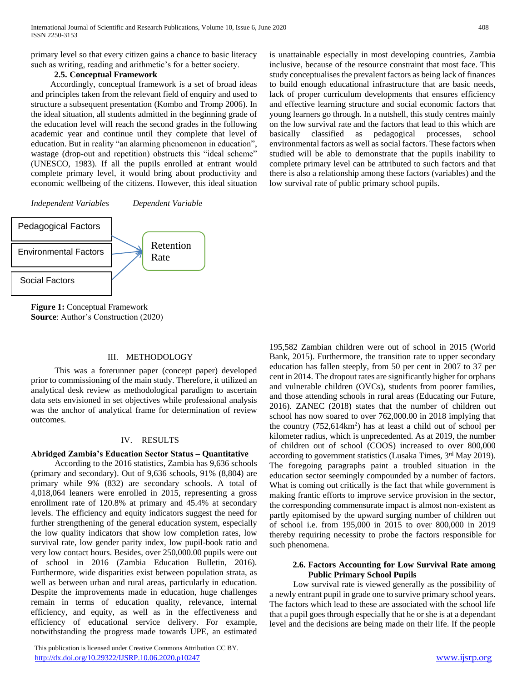primary level so that every citizen gains a chance to basic literacy such as writing, reading and arithmetic's for a better society.

#### **2.5. Conceptual Framework**

 Accordingly, conceptual framework is a set of broad ideas and principles taken from the relevant field of enquiry and used to structure a subsequent presentation (Kombo and Tromp 2006). In the ideal situation, all students admitted in the beginning grade of the education level will reach the second grades in the following academic year and continue until they complete that level of education. But in reality "an alarming phenomenon in education", wastage (drop-out and repetition) obstructs this "ideal scheme" (UNESCO, 1983). If all the pupils enrolled at entrant would complete primary level, it would bring about productivity and economic wellbeing of the citizens. However, this ideal situation

*Independent Variables Dependent Variable*



**Figure 1:** Conceptual Framework **Source**: Author's Construction (2020)

#### III. METHODOLOGY

 This was a forerunner paper (concept paper) developed prior to commissioning of the main study. Therefore, it utilized an analytical desk review as methodological paradigm to ascertain data sets envisioned in set objectives while professional analysis was the anchor of analytical frame for determination of review outcomes.

#### IV. RESULTS

# **Abridged Zambia's Education Sector Status – Quantitative**

 According to the 2016 statistics, Zambia has 9,636 schools (primary and secondary). Out of 9,636 schools, 91% (8,804) are primary while 9% (832) are secondary schools. A total of 4,018,064 leaners were enrolled in 2015, representing a gross enrollment rate of 120.8% at primary and 45.4% at secondary levels. The efficiency and equity indicators suggest the need for further strengthening of the general education system, especially the low quality indicators that show low completion rates, low survival rate, low gender parity index, low pupil-book ratio and very low contact hours. Besides, over 250,000.00 pupils were out of school in 2016 (Zambia Education Bulletin, 2016). Furthermore, wide disparities exist between population strata, as well as between urban and rural areas, particularly in education. Despite the improvements made in education, huge challenges remain in terms of education quality, relevance, internal efficiency, and equity, as well as in the effectiveness and efficiency of educational service delivery. For example, notwithstanding the progress made towards UPE, an estimated

 This publication is licensed under Creative Commons Attribution CC BY. <http://dx.doi.org/10.29322/IJSRP.10.06.2020.p10247> [www.ijsrp.org](http://ijsrp.org/)

is unattainable especially in most developing countries, Zambia inclusive, because of the resource constraint that most face. This study conceptualises the prevalent factors as being lack of finances to build enough educational infrastructure that are basic needs, lack of proper curriculum developments that ensures efficiency and effective learning structure and social economic factors that young learners go through. In a nutshell, this study centres mainly on the low survival rate and the factors that lead to this which are basically classified as pedagogical processes, school environmental factors as well as social factors. These factors when studied will be able to demonstrate that the pupils inability to complete primary level can be attributed to such factors and that there is also a relationship among these factors (variables) and the low survival rate of public primary school pupils.

195,582 Zambian children were out of school in 2015 (World Bank, 2015). Furthermore, the transition rate to upper secondary education has fallen steeply, from 50 per cent in 2007 to 37 per cent in 2014. The dropout rates are significantly higher for orphans and vulnerable children (OVCs), students from poorer families, and those attending schools in rural areas (Educating our Future, 2016). ZANEC (2018) states that the number of children out school has now soared to over 762,000.00 in 2018 implying that the country (752,614km<sup>2</sup>) has at least a child out of school per kilometer radius, which is unprecedented. As at 2019, the number of children out of school (COOS) increased to over 800,000 according to government statistics (Lusaka Times, 3rd May 2019). The foregoing paragraphs paint a troubled situation in the education sector seemingly compounded by a number of factors. What is coming out critically is the fact that while government is making frantic efforts to improve service provision in the sector, the corresponding commensurate impact is almost non-existent as partly epitomised by the upward surging number of children out of school i.e. from 195,000 in 2015 to over 800,000 in 2019 thereby requiring necessity to probe the factors responsible for such phenomena.

#### **2.6. Factors Accounting for Low Survival Rate among Public Primary School Pupils**

 Low survival rate is viewed generally as the possibility of a newly entrant pupil in grade one to survive primary school years. The factors which lead to these are associated with the school life that a pupil goes through especially that he or she is at a dependant level and the decisions are being made on their life. If the people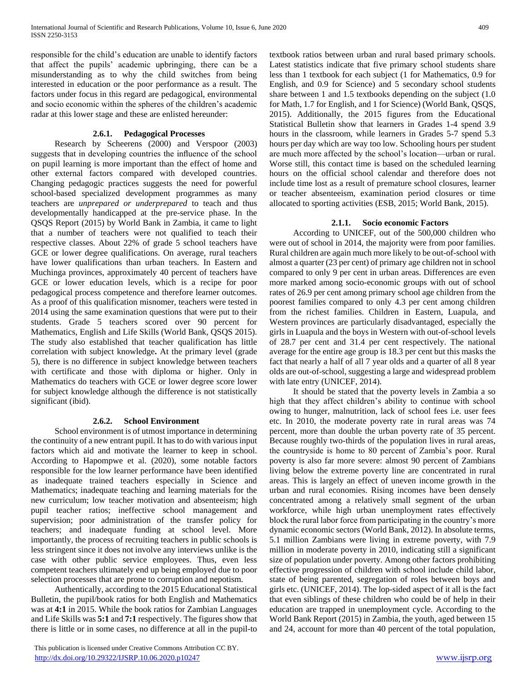responsible for the child's education are unable to identify factors that affect the pupils' academic upbringing, there can be a misunderstanding as to why the child switches from being interested in education or the poor performance as a result. The factors under focus in this regard are pedagogical, environmental and socio economic within the spheres of the children's academic radar at this lower stage and these are enlisted hereunder:

## **2.6.1. Pedagogical Processes**

 Research by Scheerens (2000) and Verspoor (2003) suggests that in developing countries the influence of the school on pupil learning is more important than the effect of home and other external factors compared with developed countries. Changing pedagogic practices suggests the need for powerful school-based specialized development programmes as many teachers are *unprepared or underprepared* to teach and thus developmentally handicapped at the pre-service phase. In the QSQS Report (2015) by World Bank in Zambia, it came to light that a number of teachers were not qualified to teach their respective classes. About 22% of grade 5 school teachers have GCE or lower degree qualifications. On average, rural teachers have lower qualifications than urban teachers. In Eastern and Muchinga provinces, approximately 40 percent of teachers have GCE or lower education levels, which is a recipe for poor pedagogical process competence and therefore learner outcomes. As a proof of this qualification misnomer, teachers were tested in 2014 using the same examination questions that were put to their students. Grade 5 teachers scored over 90 percent for Mathematics, English and Life Skills (World Bank, QSQS 2015). The study also established that teacher qualification has little correlation with subject knowledge**.** At the primary level (grade 5), there is no difference in subject knowledge between teachers with certificate and those with diploma or higher. Only in Mathematics do teachers with GCE or lower degree score lower for subject knowledge although the difference is not statistically significant (ibid).

# **2.6.2. School Environment**

 School environment is of utmost importance in determining the continuity of a new entrant pupil. It has to do with various input factors which aid and motivate the learner to keep in school. According to Hapompwe et al. (2020), some notable factors responsible for the low learner performance have been identified as inadequate trained teachers especially in Science and Mathematics; inadequate teaching and learning materials for the new curriculum; low teacher motivation and absenteeism; high pupil teacher ratios; ineffective school management and supervision; poor administration of the transfer policy for teachers; and inadequate funding at school level. More importantly, the process of recruiting teachers in public schools is less stringent since it does not involve any interviews unlike is the case with other public service employees. Thus, even less competent teachers ultimately end up being employed due to poor selection processes that are prone to corruption and nepotism.

 Authentically, according to the 2015 Educational Statistical Bulletin, the pupil/book ratios for both English and Mathematics was at **4:1** in 2015. While the book ratios for Zambian Languages and Life Skills was **5:1** and **7:1** respectively. The figures show that there is little or in some cases, no difference at all in the pupil-to

 This publication is licensed under Creative Commons Attribution CC BY. <http://dx.doi.org/10.29322/IJSRP.10.06.2020.p10247> [www.ijsrp.org](http://ijsrp.org/)

textbook ratios between urban and rural based primary schools. Latest statistics indicate that five primary school students share less than 1 textbook for each subject (1 for Mathematics, 0.9 for English, and 0.9 for Science) and 5 secondary school students share between 1 and 1.5 textbooks depending on the subject (1.0 for Math, 1.7 for English, and 1 for Science) (World Bank, QSQS, 2015). Additionally, the 2015 figures from the Educational Statistical Bulletin show that learners in Grades 1-4 spend 3.9 hours in the classroom, while learners in Grades 5-7 spend 5.3 hours per day which are way too low. Schooling hours per student are much more affected by the school's location—urban or rural. Worse still, this contact time is based on the scheduled learning hours on the official school calendar and therefore does not include time lost as a result of premature school closures, learner or teacher absenteeism, examination period closures or time allocated to sporting activities (ESB, 2015; World Bank, 2015).

## **2.1.1. Socio economic Factors**

 According to UNICEF, out of the 500,000 children who were out of school in 2014, the majority were from poor families. Rural children are again much more likely to be out-of-school with almost a quarter (23 per cent) of primary age children not in school compared to only 9 per cent in urban areas. Differences are even more marked among socio-economic groups with out of school rates of 26.9 per cent among primary school age children from the poorest families compared to only 4.3 per cent among children from the richest families. Children in Eastern, Luapula, and Western provinces are particularly disadvantaged, especially the girls in Luapula and the boys in Western with out-of-school levels of 28.7 per cent and 31.4 per cent respectively. The national average for the entire age group is 18.3 per cent but this masks the fact that nearly a half of all 7 year olds and a quarter of all 8 year olds are out-of-school, suggesting a large and widespread problem with late entry (UNICEF, 2014).

 It should be stated that the poverty levels in Zambia a so high that they affect children's ability to continue with school owing to hunger, malnutrition, lack of school fees i.e. user fees etc. In 2010, the moderate poverty rate in rural areas was 74 percent, more than double the urban poverty rate of 35 percent. Because roughly two-thirds of the population lives in rural areas, the countryside is home to 80 percent of Zambia's poor. Rural poverty is also far more severe: almost 90 percent of Zambians living below the extreme poverty line are concentrated in rural areas. This is largely an effect of uneven income growth in the urban and rural economies. Rising incomes have been densely concentrated among a relatively small segment of the urban workforce, while high urban unemployment rates effectively block the rural labor force from participating in the country's more dynamic economic sectors (World Bank, 2012). In absolute terms, 5.1 million Zambians were living in extreme poverty, with 7.9 million in moderate poverty in 2010, indicating still a significant size of population under poverty. Among other factors prohibiting effective progression of children with school include child labor, state of being parented, segregation of roles between boys and girls etc. (UNICEF, 2014). The lop-sided aspect of it all is the fact that even siblings of these children who could be of help in their education are trapped in unemployment cycle. According to the World Bank Report (2015) in Zambia, the youth, aged between 15 and 24, account for more than 40 percent of the total population,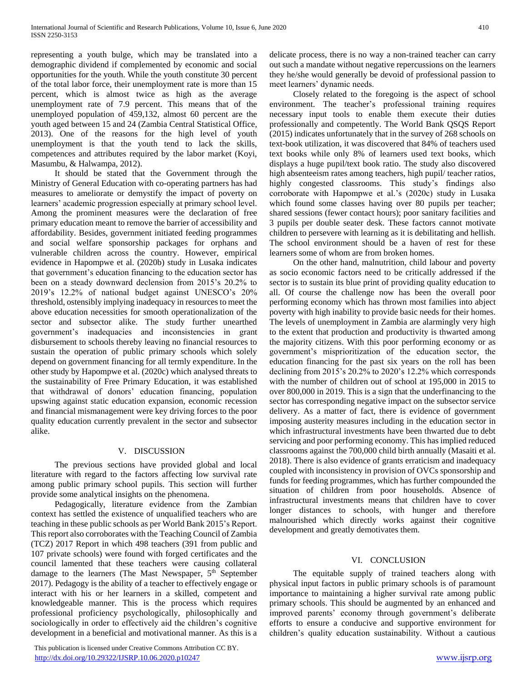representing a youth bulge, which may be translated into a demographic dividend if complemented by economic and social opportunities for the youth. While the youth constitute 30 percent of the total labor force, their unemployment rate is more than 15 percent, which is almost twice as high as the average unemployment rate of 7.9 percent. This means that of the unemployed population of 459,132, almost 60 percent are the youth aged between 15 and 24 (Zambia Central Statistical Office, 2013). One of the reasons for the high level of youth unemployment is that the youth tend to lack the skills, competences and attributes required by the labor market (Koyi, Masumbu, & Halwampa, 2012).

 It should be stated that the Government through the Ministry of General Education with co-operating partners has had measures to ameliorate or demystify the impact of poverty on learners' academic progression especially at primary school level. Among the prominent measures were the declaration of free primary education meant to remove the barrier of accessibility and affordability. Besides, government initiated feeding programmes and social welfare sponsorship packages for orphans and vulnerable children across the country. However, empirical evidence in Hapompwe et al. (2020b) study in Lusaka indicates that government's education financing to the education sector has been on a steady downward declension from 2015's 20.2% to 2019's 12.2% of national budget against UNESCO's 20% threshold, ostensibly implying inadequacy in resources to meet the above education necessities for smooth operationalization of the sector and subsector alike. The study further unearthed government's inadequacies and inconsistencies in grant disbursement to schools thereby leaving no financial resources to sustain the operation of public primary schools which solely depend on government financing for all termly expenditure. In the other study by Hapompwe et al. (2020c) which analysed threats to the sustainability of Free Primary Education, it was established that withdrawal of donors' education financing, population upswing against static education expansion, economic recession and financial mismanagement were key driving forces to the poor quality education currently prevalent in the sector and subsector alike.

## V. DISCUSSION

 The previous sections have provided global and local literature with regard to the factors affecting low survival rate among public primary school pupils. This section will further provide some analytical insights on the phenomena.

 Pedagogically, literature evidence from the Zambian context has settled the existence of unqualified teachers who are teaching in these public schools as per World Bank 2015's Report. This report also corroborates with the Teaching Council of Zambia (TCZ) 2017 Report in which 498 teachers (391 from public and 107 private schools) were found with forged certificates and the council lamented that these teachers were causing collateral damage to the learners (The Mast Newspaper, 5<sup>th</sup> September 2017). Pedagogy is the ability of a teacher to effectively engage or interact with his or her learners in a skilled, competent and knowledgeable manner. This is the process which requires professional proficiency psychologically, philosophically and sociologically in order to effectively aid the children's cognitive development in a beneficial and motivational manner. As this is a

 This publication is licensed under Creative Commons Attribution CC BY. <http://dx.doi.org/10.29322/IJSRP.10.06.2020.p10247> [www.ijsrp.org](http://ijsrp.org/)

delicate process, there is no way a non-trained teacher can carry out such a mandate without negative repercussions on the learners they he/she would generally be devoid of professional passion to meet learners' dynamic needs.

 Closely related to the foregoing is the aspect of school environment. The teacher's professional training requires necessary input tools to enable them execute their duties professionally and competently. The World Bank QSQS Report (2015) indicates unfortunately that in the survey of 268 schools on text-book utilization, it was discovered that 84% of teachers used text books while only 8% of learners used text books, which displays a huge pupil/text book ratio. The study also discovered high absenteeism rates among teachers, high pupil/ teacher ratios, highly congested classrooms. This study's findings also corroborate with Hapompwe et al.'s (2020c) study in Lusaka which found some classes having over 80 pupils per teacher; shared sessions (fewer contact hours); poor sanitary facilities and 3 pupils per double seater desk. These factors cannot motivate children to persevere with learning as it is debilitating and hellish. The school environment should be a haven of rest for these learners some of whom are from broken homes.

 On the other hand, malnutrition, child labour and poverty as socio economic factors need to be critically addressed if the sector is to sustain its blue print of providing quality education to all. Of course the challenge now has been the overall poor performing economy which has thrown most families into abject poverty with high inability to provide basic needs for their homes. The levels of unemployment in Zambia are alarmingly very high to the extent that production and productivity is thwarted among the majority citizens. With this poor performing economy or as government's misprioritization of the education sector, the education financing for the past six years on the roll has been declining from 2015's 20.2% to 2020's 12.2% which corresponds with the number of children out of school at 195,000 in 2015 to over 800,000 in 2019. This is a sign that the underfinancing to the sector has corresponding negative impact on the subsector service delivery. As a matter of fact, there is evidence of government imposing austerity measures including in the education sector in which infrastructural investments have been thwarted due to debt servicing and poor performing economy. This has implied reduced classrooms against the 700,000 child birth annually (Masaiti et al. 2018). There is also evidence of grants erraticism and inadequacy coupled with inconsistency in provision of OVCs sponsorship and funds for feeding programmes, which has further compounded the situation of children from poor households. Absence of infrastructural investments means that children have to cover longer distances to schools, with hunger and therefore malnourished which directly works against their cognitive development and greatly demotivates them.

#### VI. CONCLUSION

 The equitable supply of trained teachers along with physical input factors in public primary schools is of paramount importance to maintaining a higher survival rate among public primary schools. This should be augmented by an enhanced and improved parents' economy through government's deliberate efforts to ensure a conducive and supportive environment for children's quality education sustainability. Without a cautious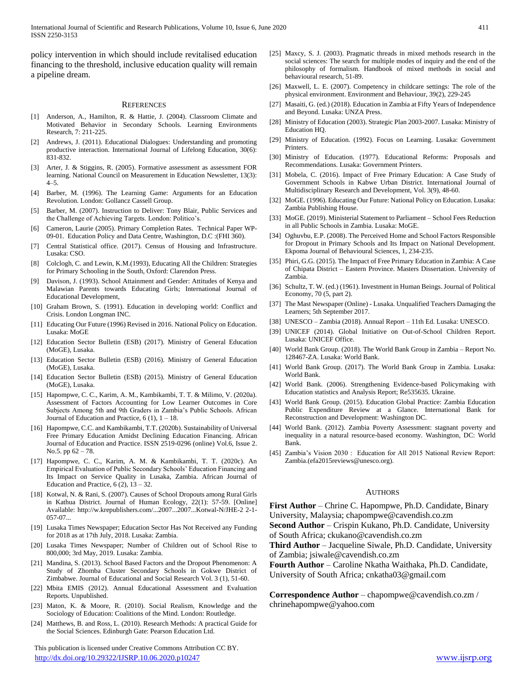International Journal of Scientific and Research Publications, Volume 10, Issue 6, June 2020 411 ISSN 2250-3153

policy intervention in which should include revitalised education financing to the threshold, inclusive education quality will remain a pipeline dream.

#### **REFERENCES**

- [1] Anderson, A., Hamilton, R. & Hattie, J. (2004). Classroom Climate and Motivated Behavior in Secondary Schools. Learning Environments Research, 7: 211-225.
- Andrews, J. (2011). Educational Dialogues: Understanding and promoting productive interaction. International Journal of Lifelong Education, 30(6): 831-832.
- [3] Arter, J. & Stiggins, R. (2005). Formative assessment as assessment FOR learning. National Council on Measurement in Education Newsletter, 13(3): 4–5.
- [4] Barber, M. (1996). The Learning Game: Arguments for an Education Revolution. London: Gollancz Cassell Group.
- [5] Barber, M. (2007). Instruction to Deliver: Tony Blair, Public Services and the Challenge of Achieving Targets. London: Politico's.
- [6] Cameron, Laurie (2005). Primary Completion Rates. Technical Paper WP-09-01. Education Policy and Data Centre, Washington, D.C :(FHI 360).
- [7] Central Statistical office. (2017). Census of Housing and Infrastructure. Lusaka: CSO.
- [8] Colclogh, C. and Lewin, K.M.(1993), Educating All the Children: Strategies for Primary Schooling in the South, Oxford: Clarendon Press.
- [9] Davison, J. (1993). School Attainment and Gender: Attitudes of Kenya and Malawian Parents towards Educating Girls; International Journal of Educational Development,
- [10] Graham Brown, S. (1991). Education in developing world: Conflict and Crisis. London Longman INC.
- [11] Educating Our Future (1996) Revised in 2016. National Policy on Education. Lusaka: MoGE
- [12] Education Sector Bulletin (ESB) (2017). Ministry of General Education (MoGE), Lusaka.
- [13] Education Sector Bulletin (ESB) (2016). Ministry of General Education (MoGE), Lusaka.
- [14] Education Sector Bulletin (ESB) (2015). Ministry of General Education (MoGE), Lusaka.
- [15] Hapompwe, C. C., Karim, A. M., Kambikambi, T. T. & Milimo, V. (2020a). Assessment of Factors Accounting for Low Learner Outcomes in Core Subjects Among 5th and 9th Graders in Zambia's Public Schools. African Journal of Education and Practice,  $6(1)$ ,  $1 - 18$ .
- [16] Hapompwe, C.C. and Kambikambi, T.T. (2020b). Sustainability of Universal Free Primary Education Amidst Declining Education Financing. African Journal of Education and Practice. ISSN 2519-0296 (online) Vol.6, Issue 2. No.5. pp 62 – 78.
- [17] Hapompwe, C. C., Karim, A. M. & Kambikambi, T. T. (2020c). An Empirical Evaluation of Public Secondary Schools' Education Financing and Its Impact on Service Quality in Lusaka, Zambia. African Journal of Education and Practice,  $6(2)$ ,  $13 - 32$ .
- [18] Kotwal, N. & Rani, S. (2007). Causes of School Dropouts among Rural Girls in Kathua District. Journal of Human Ecology, 22(1): 57-59. [Online] Available: http://w.krepublishers.com/...2007...2007...Kotwal-N/JHE-2 2-1- 057-07...
- [19] Lusaka Times Newspaper; Education Sector Has Not Received any Funding for 2018 as at 17th July, 2018. Lusaka: Zambia.
- [20] Lusaka Times Newspaper; Number of Children out of School Rise to 800,000; 3rd May, 2019. Lusaka: Zambia.
- [21] Mandina, S. (2013). School Based Factors and the Dropout Phenomenon: A Study of Zhomba Cluster Secondary Schools in Gokwe District of Zimbabwe. Journal of Educational and Social Research Vol. 3 (1), 51-60.
- [22] Mbita EMIS (2012). Annual Educational Assessment and Evaluation Reports. Unpublished.
- [23] Maton, K. & Moore, R. (2010). Social Realism, Knowledge and the Sociology of Education: Coalitions of the Mind. London: Routledge.
- [24] Matthews, B. and Ross, L. (2010). Research Methods: A practical Guide for the Social Sciences. Edinburgh Gate: Pearson Education Ltd.

 This publication is licensed under Creative Commons Attribution CC BY. <http://dx.doi.org/10.29322/IJSRP.10.06.2020.p10247> [www.ijsrp.org](http://ijsrp.org/)

- [25] Maxcy, S. J. (2003). Pragmatic threads in mixed methods research in the social sciences: The search for multiple modes of inquiry and the end of the philosophy of formalism. Handbook of mixed methods in social and behavioural research, 51-89.
- [26] Maxwell, L. E. (2007). Competency in childcare settings: The role of the physical environment. Environment and Behaviour, 39(2), 229-245
- [27] Masaiti, G. (ed.) (2018). Education in Zambia at Fifty Years of Independence and Beyond. Lusaka: UNZA Press.
- [28] Ministry of Education (2003). Strategic Plan 2003-2007. Lusaka: Ministry of Education HQ.
- [29] Ministry of Education. (1992). Focus on Learning. Lusaka: Government Printers.
- [30] Ministry of Education. (1977). Educational Reforms: Proposals and Recommendations. Lusaka: Government Printers.
- [31] Mobela, C. (2016). Impact of Free Primary Education: A Case Study of Government Schools in Kabwe Urban District. International Journal of Multidisciplinary Research and Development, Vol. 3(9), 48-60.
- [32] MoGE. (1996). Educating Our Future: National Policy on Education. Lusaka: Zambia Publishing House.
- [33] MoGE. (2019). Ministerial Statement to Parliament School Fees Reduction in all Public Schools in Zambia. Lusaka: MoGE.
- [34] Oghuvbu, E.P. (2008). The Perceived Home and School Factors Responsible for Dropout in Primary Schools and Its Impact on National Development. Ekpoma Journal of Behavioural Sciences, 1, 234-235.
- [35] Phiri, G.G. (2015). The Impact of Free Primary Education in Zambia: A Case of Chipata District – Eastern Province. Masters Dissertation. University of Zambia.
- [36] Schultz, T. W. (ed.) (1961). Investment in Human Beings. Journal of Political Economy, 70 (5, part 2).
- [37] The Mast Newspaper (Online) Lusaka. Unqualified Teachers Damaging the Learners; 5th September 2017.
- [38] UNESCO Zambia (2018). Annual Report 11th Ed. Lusaka: UNESCO.
- [39] UNICEF (2014). Global Initiative on Out-of-School Children Report. Lusaka: UNICEF Office.
- [40] World Bank Group. (2018). The World Bank Group in Zambia Report No. 128467-ZA. Lusaka: World Bank.
- [41] World Bank Group. (2017). The World Bank Group in Zambia. Lusaka: World Bank.
- [42] World Bank. (2006). Strengthening Evidence-based Policymaking with Education statistics and Analysis Report; Re535635. Ukraine.
- [43] World Bank Group. (2015). Education Global Practice: Zambia Education Public Expenditure Review at a Glance. International Bank for Reconstruction and Development: Washington DC.
- [44] World Bank. (2012). Zambia Poverty Assessment: stagnant poverty and inequality in a natural resource-based economy. Washington, DC: World Bank.
- [45] Zambia's Vision 2030 : Education for All 2015 National Review Report: Zambia.(efa2015reviews@unesco.org).

#### **AUTHORS**

**First Author** – Chrine C. Hapompwe, Ph.D. Candidate, Binary University, Malaysia; chapompwe@cavendish.co.zm

**Second Author** – Crispin Kukano, Ph.D. Candidate, University of South Africa; ckukano@cavendish.co.zm

**Third Author** – Jacqueline Siwale, Ph.D. Candidate, University of Zambia; jsiwale@cavendish.co.zm

**Fourth Author** – Caroline Nkatha Waithaka, Ph.D. Candidate, University of South Africa; cnkatha03@gmail.com

**Correspondence Author** – chapompwe@cavendish.co.zm / chrinehapompwe@yahoo.com